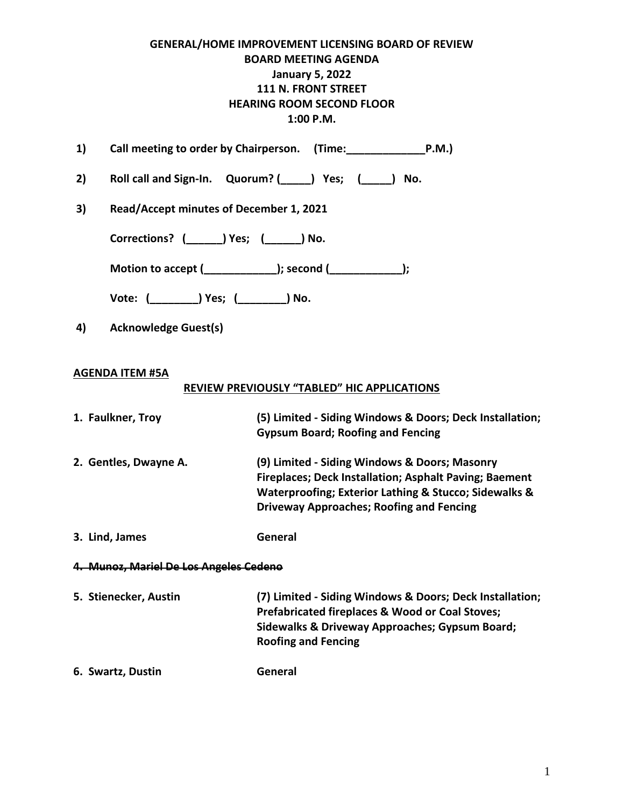# **GENERAL/HOME IMPROVEMENT LICENSING BOARD OF REVIEW BOARD MEETING AGENDA January 5, 2022 111 N. FRONT STREET HEARING ROOM SECOND FLOOR 1:00 P.M.**

| 1)                |                                             | Call meeting to order by Chairperson. (Time: P.M.)                                                                                                                                                                  |
|-------------------|---------------------------------------------|---------------------------------------------------------------------------------------------------------------------------------------------------------------------------------------------------------------------|
| 2)                |                                             | Roll call and Sign-In. Quorum? (Supply Pes; (Supply No.                                                                                                                                                             |
| 3)                | Read/Accept minutes of December 1, 2021     |                                                                                                                                                                                                                     |
|                   | Corrections? ( _______) Yes; ( _______) No. |                                                                                                                                                                                                                     |
|                   |                                             | Motion to accept (___________); second (___________);                                                                                                                                                               |
|                   |                                             |                                                                                                                                                                                                                     |
| 4)                | <b>Acknowledge Guest(s)</b>                 |                                                                                                                                                                                                                     |
|                   | <b>AGENDA ITEM #5A</b>                      | <b>REVIEW PREVIOUSLY "TABLED" HIC APPLICATIONS</b>                                                                                                                                                                  |
|                   | 1. Faulkner, Troy                           | (5) Limited - Siding Windows & Doors; Deck Installation;<br><b>Gypsum Board; Roofing and Fencing</b>                                                                                                                |
|                   | 2. Gentles, Dwayne A.                       | (9) Limited - Siding Windows & Doors; Masonry<br>Fireplaces; Deck Installation; Asphalt Paving; Baement<br>Waterproofing; Exterior Lathing & Stucco; Sidewalks &<br><b>Driveway Approaches; Roofing and Fencing</b> |
|                   | 3. Lind, James                              | General                                                                                                                                                                                                             |
|                   | 4. Munoz, Mariel De Los Angeles Cedeno      |                                                                                                                                                                                                                     |
|                   | 5. Stienecker, Austin                       | (7) Limited - Siding Windows & Doors; Deck Installation;<br><b>Prefabricated fireplaces &amp; Wood or Coal Stoves;</b><br>Sidewalks & Driveway Approaches; Gypsum Board;<br><b>Roofing and Fencing</b>              |
| 6. Swartz, Dustin |                                             | General                                                                                                                                                                                                             |
|                   |                                             |                                                                                                                                                                                                                     |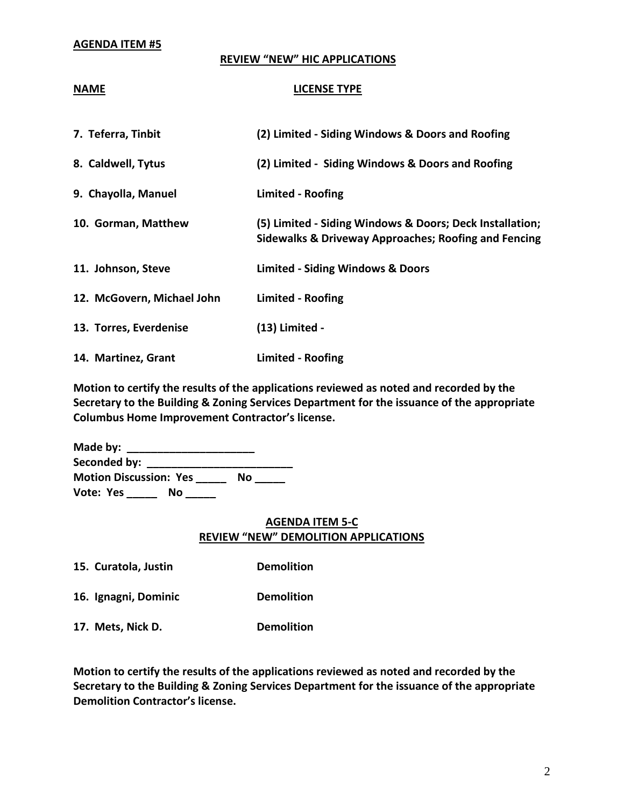#### **AGENDA ITEM #5**

#### **REVIEW "NEW" HIC APPLICATIONS**

#### **NAME LICENSE TYPE**

| 7. Teferra, Tinbit         | (2) Limited - Siding Windows & Doors and Roofing                                                                            |
|----------------------------|-----------------------------------------------------------------------------------------------------------------------------|
| 8. Caldwell, Tytus         | (2) Limited - Siding Windows & Doors and Roofing                                                                            |
| 9. Chayolla, Manuel        | <b>Limited - Roofing</b>                                                                                                    |
| 10. Gorman, Matthew        | (5) Limited - Siding Windows & Doors; Deck Installation;<br><b>Sidewalks &amp; Driveway Approaches; Roofing and Fencing</b> |
| 11. Johnson, Steve         | <b>Limited - Siding Windows &amp; Doors</b>                                                                                 |
| 12. McGovern, Michael John | <b>Limited - Roofing</b>                                                                                                    |
| 13. Torres, Everdenise     | (13) Limited -                                                                                                              |
| 14. Martinez, Grant        | <b>Limited - Roofing</b>                                                                                                    |

**Motion to certify the results of the applications reviewed as noted and recorded by the Secretary to the Building & Zoning Services Department for the issuance of the appropriate Columbus Home Improvement Contractor's license.**

| Made by:                            |    |  |
|-------------------------------------|----|--|
| Seconded by: _____                  |    |  |
| <b>Motion Discussion: Yes</b><br>No |    |  |
| Vote: Yes                           | Nο |  |

## **AGENDA ITEM 5-C REVIEW "NEW" DEMOLITION APPLICATIONS**

**15. Curatola, Justin Demolition**

**16. Ignagni, Dominic Demolition**

**17. Mets, Nick D. Demolition**

**Motion to certify the results of the applications reviewed as noted and recorded by the Secretary to the Building & Zoning Services Department for the issuance of the appropriate Demolition Contractor's license.**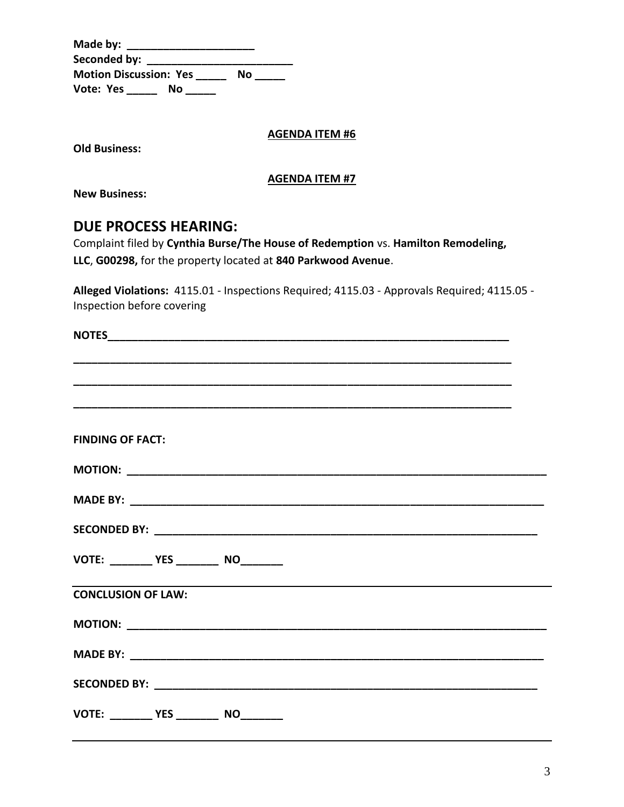| Made by:                      |    |    |  |
|-------------------------------|----|----|--|
| Seconded by:                  |    |    |  |
| <b>Motion Discussion: Yes</b> |    | Nο |  |
| Vote: Yes                     | Nο |    |  |

### **AGENDA ITEM #6**

**Old Business:**

### **AGENDA ITEM #7**

**New Business:**

# **DUE PROCESS HEARING:**

Complaint filed by **Cynthia Burse/The House of Redemption** vs. **Hamilton Remodeling, LLC**, **G00298,** for the property located at **840 Parkwood Avenue**.

**Alleged Violations:** 4115.01 - Inspections Required; 4115.03 - Approvals Required; 4115.05 - Inspection before covering

| <b>FINDING OF FACT:</b>                                                                                       |  |  |  |  |
|---------------------------------------------------------------------------------------------------------------|--|--|--|--|
|                                                                                                               |  |  |  |  |
|                                                                                                               |  |  |  |  |
|                                                                                                               |  |  |  |  |
| VOTE: _________ YES _________ NO________                                                                      |  |  |  |  |
| ,我们也不会有什么。""我们的人,我们也不会有什么?""我们的人,我们也不会有什么?""我们的人,我们也不会有什么?""我们的人,我们也不会有什么?""我们的人<br><b>CONCLUSION OF LAW:</b> |  |  |  |  |
|                                                                                                               |  |  |  |  |
|                                                                                                               |  |  |  |  |
|                                                                                                               |  |  |  |  |
| VOTE: _________ YES _________ NO_________                                                                     |  |  |  |  |